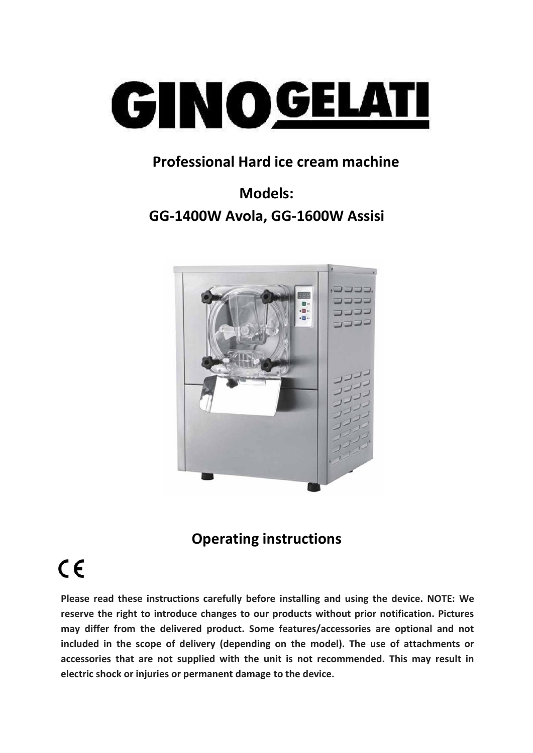

#### **Professional Hard ice cream machine**

# **Models: GG-1400W Avola, GG-1600W Assisi**



## **Operating instructions**

# $C \in$

**Please read these instructions carefully before installing and using the device. NOTE: We reserve the right to introduce changes to our products without prior notification. Pictures may differ from the delivered product. Some features/accessories are optional and not included in the scope of delivery (depending on the model). The use of attachments or accessories that are not supplied with the unit is not recommended. This may result in electric shock or injuries or permanent damage to the device.**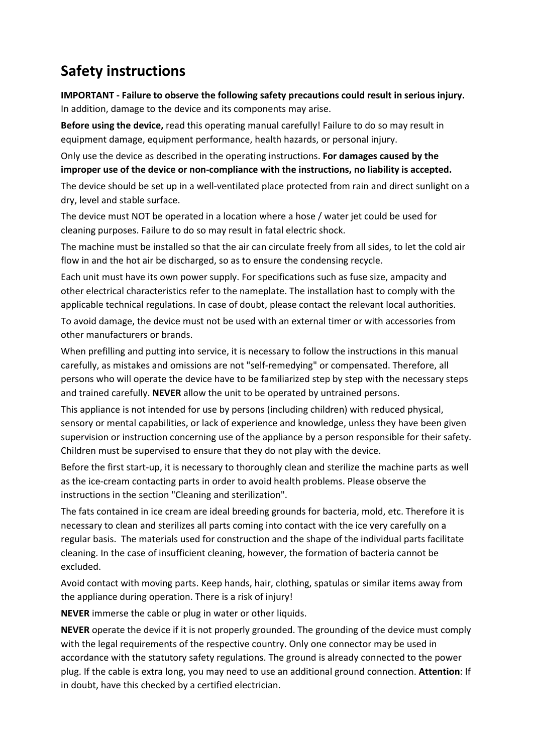### **Safety instructions**

**IMPORTANT - Failure to observe the following safety precautions could result in serious injury.** In addition, damage to the device and its components may arise.

**Before using the device,** read this operating manual carefully! Failure to do so may result in equipment damage, equipment performance, health hazards, or personal injury.

Only use the device as described in the operating instructions. **For damages caused by the improper use of the device or non-compliance with the instructions, no liability is accepted.**

The device should be set up in a well-ventilated place protected from rain and direct sunlight on a dry, level and stable surface.

The device must NOT be operated in a location where a hose / water jet could be used for cleaning purposes.Failure to do so may result in fatal electric shock.

The machine must be installed so that the air can circulate freely from all sides, to let the cold air flow in and the hot air be discharged, so as to ensure the condensing recycle.

Each unit must have its own power supply. For specifications such as fuse size, ampacity and other electrical characteristics refer to the nameplate. The installation hast to comply with the applicable technical regulations. In case of doubt, please contact the relevant local authorities.

To avoid damage, the device must not be used with an external timer or with accessories from other manufacturers or brands.

When prefilling and putting into service, it is necessary to follow the instructions in this manual carefully, as mistakes and omissions are not "self-remedying" or compensated. Therefore, all persons who will operate the device have to be familiarized step by step with the necessary steps and trained carefully. **NEVER** allow the unit to be operated by untrained persons.

This appliance is not intended for use by persons (including children) with reduced physical, sensory or mental capabilities, or lack of experience and knowledge, unless they have been given supervision or instruction concerning use of the appliance by a person responsible for their safety. Children must be supervised to ensure that they do not play with the device.

Before the first start-up, it is necessary to thoroughly clean and sterilize the machine parts as well as the ice-cream contacting parts in order to avoid health problems. Please observe the instructions in the section "Cleaning and sterilization".

The fats contained in ice cream are ideal breeding grounds for bacteria, mold, etc. Therefore it is necessary to clean and sterilizes all parts coming into contact with the ice very carefully on a regular basis. The materials used for construction and the shape of the individual parts facilitate cleaning. In the case of insufficient cleaning, however, the formation of bacteria cannot be excluded.

Avoid contact with moving parts. Keep hands, hair, clothing, spatulas or similar items away from the appliance during operation. There is a risk of injury!

**NEVER** immerse the cable or plug in water or other liquids.

**NEVER** operate the device if it is not properly grounded. The grounding of the device must comply with the legal requirements of the respective country. Only one connector may be used in accordance with the statutory safety regulations. The ground is already connected to the power plug. If the cable is extra long, you may need to use an additional ground connection. **Attention**: If in doubt, have this checked by a certified electrician.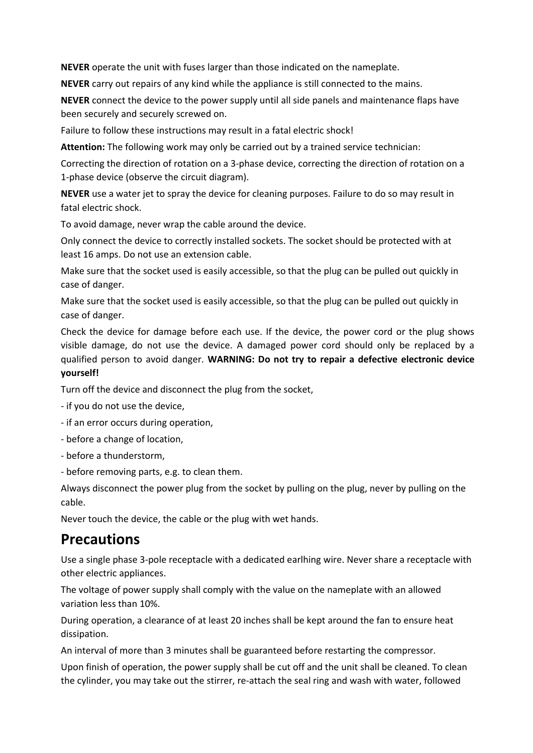**NEVER** operate the unit with fuses larger than those indicated on the nameplate.

**NEVER** carry out repairs of any kind while the appliance is still connected to the mains.

**NEVER** connect the device to the power supply until all side panels and maintenance flaps have been securely and securely screwed on.

Failure to follow these instructions may result in a fatal electric shock!

**Attention:** The following work may only be carried out by a trained service technician:

Correcting the direction of rotation on a 3-phase device, correcting the direction of rotation on a 1-phase device (observe the circuit diagram).

**NEVER** use a water jet to spray the device for cleaning purposes. Failure to do so may result in fatal electric shock.

To avoid damage, never wrap the cable around the device.

Only connect the device to correctly installed sockets. The socket should be protected with at least 16 amps. Do not use an extension cable.

Make sure that the socket used is easily accessible, so that the plug can be pulled out quickly in case of danger.

Make sure that the socket used is easily accessible, so that the plug can be pulled out quickly in case of danger.

Check the device for damage before each use. If the device, the power cord or the plug shows visible damage, do not use the device. A damaged power cord should only be replaced by a qualified person to avoid danger. **WARNING: Do not try to repair a defective electronic device yourself!**

Turn off the device and disconnect the plug from the socket,

- 
- if you do not use the device,<br>- if an error occurs during operation,
- before a change of location,
- before a thunderstorm,
- before removing parts, e.g. to clean them.

Always disconnect the power plug from the socket by pulling on the plug, never by pulling on the cable.

Never touch the device, the cable or the plug with wet hands.

#### **Precautions**

Use a single phase 3-pole receptacle with a dedicated earlhing wire. Never share a receptacle with other electric appliances.

The voltage of power supply shall comply with the value on the nameplate with an allowed variation less than 10%.

During operation, a clearance of at least 20 inches shall be kept around the fan to ensure heat dissipation.

An interval of more than 3 minutes shall be guaranteed before restarting the compressor.

Upon finish of operation, the power supply shall be cut off and the unit shall be cleaned. To clean the cylinder, you may take out the stirrer, re-attach the seal ring and wash with water, followed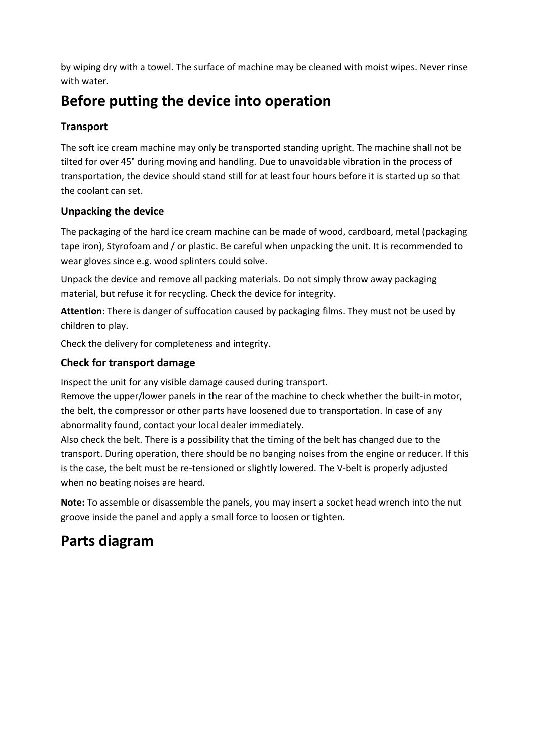by wiping dry with a towel. The surface of machine may be cleaned with moist wipes. Never rinse with water.

### **Before putting the device into operation**

#### **Transport**

The soft ice cream machine may only be transported standing upright. The machine shall not be tilted for over 45° during moving and handling. Due to unavoidable vibration in the process of transportation, the device should stand still for at least four hours before it is started up so that the coolant can set.

#### **Unpacking the device**

The packaging of the hard ice cream machine can be made of wood, cardboard, metal (packaging tape iron), Styrofoam and / or plastic. Be careful when unpacking the unit. It is recommended to wear gloves since e.g. wood splinters could solve.

Unpack the device and remove all packing materials. Do not simply throw away packaging material, but refuse it for recycling. Check the device for integrity.

Attention: There is danger of suffocation caused by packaging films. They must not be used by children to play.

Check the delivery for completeness and integrity.

#### **Check for transport damage**

Inspect the unit for any visible damage caused during transport.

Remove the upper/lower panels in the rear of the machine to check whether the built-in motor, the belt, the compressor or other parts have loosened due to transportation. In case of any abnormality found, contact your local dealer immediately.

Also check the belt. There is a possibility that the timing of the belt has changed due to the transport. During operation, there should be no banging noises from the engine or reducer. If this is the case, the belt must be re-tensioned or slightly lowered.The V-belt is properly adjusted when no beating noises are heard.

Note: To assemble or disassemble the panels, you may insert a socket head wrench into the nut groove inside the panel and apply a small force to loosen or tighten.

#### **Parts diagram**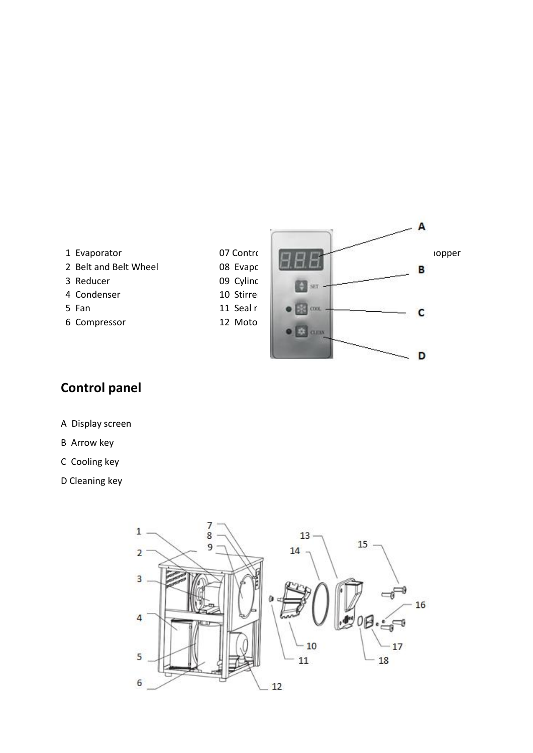- 3 Reducer 09 Cylinder 15 Fixed 4 Condenser 10 Stirrer 6 Compressor 12 Motor 12 Ellipsed Sealth Sealth Sealth Sealth Sealth Sealth Sealth Sealth Sealth Sealth Sealth
- 



#### **Control panel**

- A Display screen
- B Arrow key
- C Cooling key
- D Cleaning key

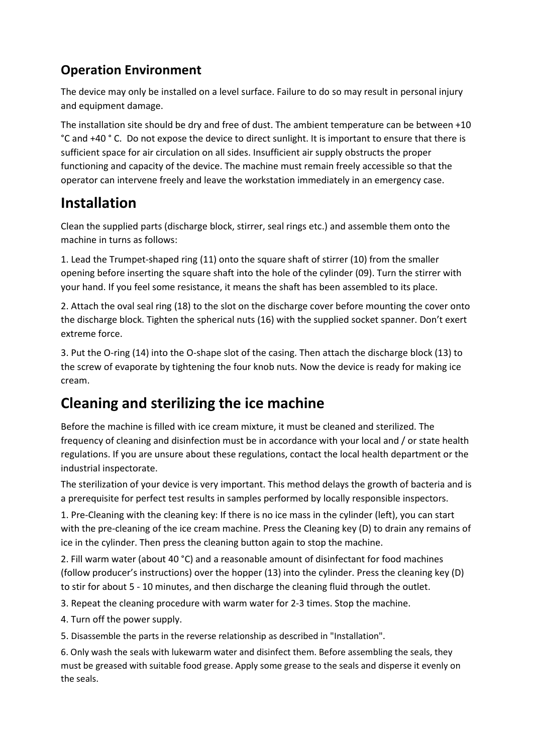#### **Operation Environment**

The device may only be installed on a level surface. Failure to do so may result in personal injury and equipment damage.

The installation site should be dry and free of dust. The ambient temperature can be between +10 °C and +40 ° C. Do not expose the device to direct sunlight. It is important to ensure that there is sufficient space for air circulation on all sides. Insufficient air supply obstructs the proper functioning and capacity of the device. The machine must remain freely accessible so that the operator can intervene freely and leave the workstation immediately in an emergency case.

#### **Installation**

Clean the supplied parts (discharge block, stirrer, seal rings etc.) and assemble them onto the machine in turns as follows:

1. Lead the Trumpet-shaped ring (11) onto the square shaft of stirrer (10) from the smaller opening before inserting the square shaft into the hole of the cylinder (09). Turn the stirrer with

your hand. If you feel some resistance, it means the shaft has been assembled to its place.<br>2. Attach the oval seal ring (18) to the slot on the discharge cover before mounting the cover onto the discharge block. Tighten the spherical nuts (16) with the supplied socket spanner. Don't exert extreme force.

3. Put the O-ring (14) into the O-shape slot of the casing. Then attach the discharge block (13) to the screw of evaporate by tightening the four knob nuts. Now the device is ready for making ice cream.

## **Cleaning and sterilizing the ice machine**

Before the machine is filled with ice cream mixture, it must be cleaned and sterilized. The frequency of cleaning and disinfection must be in accordance with your local and / or state health regulations. If you are unsure about these regulations, contact the local health department or the industrial inspectorate.

The sterilization of your device is very important. This method delays the growth of bacteria and is

a prerequisite for perfect test results in samples performed by locally responsible inspectors.<br>1. Pre-Cleaning with the cleaning key: If there is no ice mass in the cylinder (left), you can start with the pre-cleaning of the ice cream machine. Press the Cleaning key (D) to drain any remains of ice in the cylinder. Then press the cleaning button again to stop the machine.

2. Fill warm water (about 40 °C) and a reasonable amount of disinfectant for food machines (follow producer's instructions) over the hopper (13) into the cylinder. Press the cleaning key (D) to stir for about 5 - 10 minutes, and then discharge the cleaning fluid through the outlet.

- 3. Repeat the cleaning procedure with warm water for 2-3times. Stop the machine.
- 4. Turn off the power supply.

5. Disassemble the parts in the reverse relationship as described in "Installation".

6. Only wash the seals with lukewarm water and disinfect them. Before assembling the seals, they must be greased with suitable food grease. Apply some grease to the seals and disperse it evenly on the seals.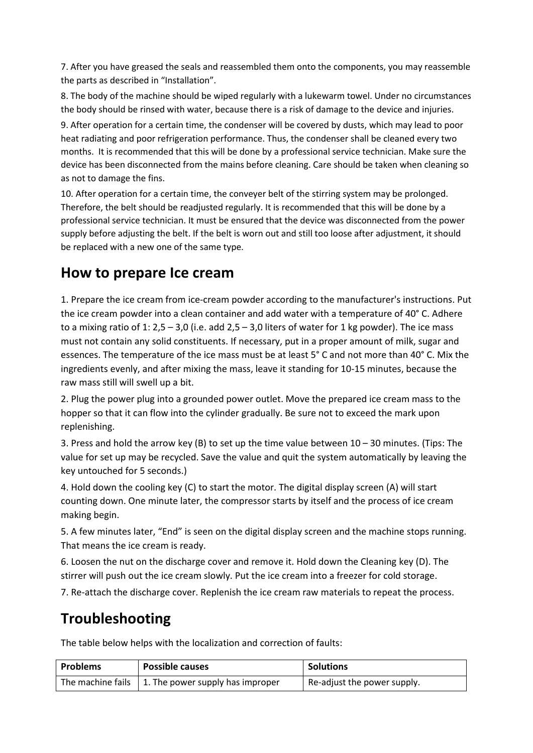7. After you have greased the seals and reassembled them onto the components, you may reassemble the parts as described in "Installation".

8. The body of the machine should be wiped regularly with a lukewarm towel. Under no circumstances the body should be rinsed with water, because there is a risk of damage to the device and injuries.

9. After operation for a certain time, the condenser will be covered by dusts, which may lead to poor heat radiating and poor refrigeration performance. Thus, the condenser shall be cleaned every two months. It is recommended that this will be done by a professional service technician. Make sure the device has been disconnected from the mains before cleaning. Care should be taken when cleaning so as not to damage the fins.

10. After operation for a certain time, the conveyer belt of the stirring system may be prolonged.<br>Therefore, the belt should be readjusted regularly. It is recommended that this will be done by a professional service technician. It must be ensured that the device was disconnected from the power supply before adjusting the belt. If the belt is worn out and still too loose after adjustment, it should be replaced with a new one of the same type.

#### **How to prepare Ice cream**

1. Prepare the ice cream from ice-cream powder according to the manufacturer's instructions. Put the ice cream powder into a clean container and add water with a temperature of 40° C. Adhere to a mixing ratio of 1: 2,5 - 3,0 (i.e. add 2,5 - 3,0 liters of water for 1 kg powder). The ice mass must not contain any solid constituents. If necessary, put in a proper amount of milk, sugar and essences. The temperature of the ice mass must be at least 5° C and not more than 40° C.Mix the ingredients evenly, and after mixing the mass, leave it standing for 10-15 minutes, because the raw mass still will swell up a bit.

2. Plug the power plug into a grounded power outlet. Move the prepared ice cream mass to the hopper so that it can flow into the cylinder gradually. Be sure not to exceed the mark upon replenishing.

3. Press and hold the arrow key (B) to set up the time value between 10 – 30 minutes. (Tips: The value for set up may be recycled. Save the value and quit the system automatically by leaving the key untouched for 5 seconds.)

4. Hold down the cooling key (C) to start the motor. The digital display screen (A) will start counting down. One minute later, the compressor starts by itself and the process of ice cream making begin.

5. A few minutes later, "End" is seen on the digital display screen and the machine stops running. That means the ice cream is ready.

6. Loosen the nut on the discharge cover and remove it. Hold down the Cleaning key (D). The stirrer will push out the ice cream slowly. Put the ice cream into a freezer for cold storage.

7. Re-attach the discharge cover. Replenish the ice cream raw materials to repeat the process.

#### **Troubleshooting**

The table below helps with the localization and correction of faults:

| <b>Problems</b>               | <b>Possible causes</b>                   | <b>Solutions</b>                    |
|-------------------------------|------------------------------------------|-------------------------------------|
| The machine fails $\parallel$ | $\vert$ 1. The power supply has improper | $\perp$ Re-adjust the power supply. |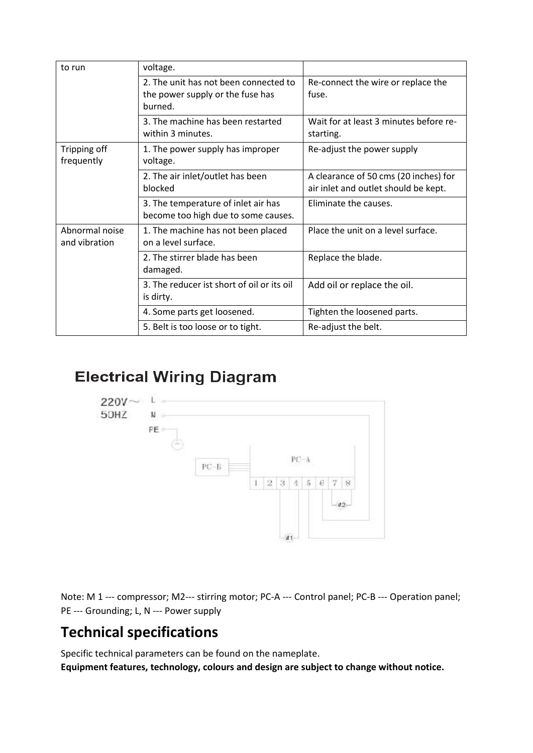| to run                          | voltage.                                                                             |                                                                               |
|---------------------------------|--------------------------------------------------------------------------------------|-------------------------------------------------------------------------------|
|                                 | 2. The unit has not been connected to<br>the power supply or the fuse has<br>burned. | Re-connect the wire or replace the<br>fuse.                                   |
|                                 | 3. The machine has been restarted<br>within 3 minutes.                               | Wait for at least 3 minutes before re-<br>starting.                           |
| Tripping off<br>frequently      | 1. The power supply has improper<br>voltage.                                         | Re-adjust the power supply                                                    |
|                                 | 2. The air inlet/outlet has been<br>blocked                                          | A clearance of 50 cms (20 inches) for<br>air inlet and outlet should be kept. |
|                                 | 3. The temperature of inlet air has<br>become too high due to some causes.           | Eliminate the causes.                                                         |
| Abnormal noise<br>and vibration | 1. The machine has not been placed<br>on a level surface.                            | Place the unit on a level surface.                                            |
|                                 | 2. The stirrer blade has been<br>damaged.                                            | Replace the blade.                                                            |
|                                 | 3. The reducer ist short of oil or its oil<br>is dirty.                              | Add oil or replace the oil.                                                   |
|                                 | 4. Some parts get loosened.                                                          | Tighten the loosened parts.                                                   |
|                                 | 5. Belt is too loose or to tight.                                                    | Re-adjust the belt.                                                           |

#### **Electrical Wiring Diagram**



Note: M 1 --- compressor; M2--- stirring motor; PC-A --- Control panel; PC-B --- Operation panel; PE --- Grounding; L, N --- Power supply

## **Technical specifications**

Specific technical parameters can be found on the nameplate.

**Equipment features, technology, colours and design are subject to change without notice.**